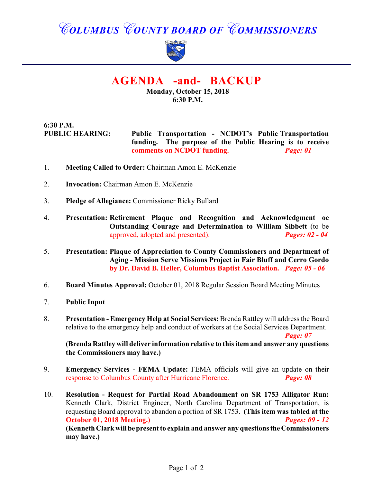# *COLUMBUS COUNTY BOARD OF COMMISSIONERS*



## **AGENDA -and- BACKUP**

**Monday, October 15, 2018 6:30 P.M.**

#### **6:30 P.M. PUBLIC HEARING: Public Transportation - NCDOT's Public Transportation funding. The purpose of the Public Hearing is to receive comments on NCDOT funding.** *Page: 01*

- 1. **Meeting Called to Order:** Chairman Amon E. McKenzie
- 2. **Invocation:** Chairman Amon E. McKenzie
- 3. **Pledge of Allegiance:** Commissioner Ricky Bullard
- 4. **Presentation: Retirement Plaque and Recognition and Acknowledgment oe Outstanding Courage and Determination to William Sibbett** (to be approved, adopted and presented). *Pages: 02 - 04*
- 5. **Presentation: Plaque of Appreciation to County Commissioners and Department of Aging - Mission Serve Missions Project in Fair Bluff and Cerro Gordo by Dr. David B. Heller, Columbus Baptist Association.** *Page: 05 - 06*
- 6. **Board Minutes Approval:** October 01, 2018 Regular Session Board Meeting Minutes
- 7. **Public Input**
- 8. **Presentation Emergency Help at Social Services:** Brenda Rattley will address the Board relative to the emergency help and conduct of workers at the Social Services Department.

*Page: 07*

**(Brenda Rattley will deliver information relative to this item and answer any questions the Commissioners may have.)**

- 9. **Emergency Services FEMA Update:** FEMA officials will give an update on their response to Columbus County after Hurricane Florence. *Page: 08*
- 10. **Resolution Request for Partial Road Abandonment on SR 1753 Alligator Run:** Kenneth Clark, District Engineer, North Carolina Department of Transportation, is requesting Board approval to abandon a portion of SR 1753. **(This item was tabled at the October 01, 2018 Meeting.)** *Pages: 09 - 12* **(Kenneth Clark will be present to explain and answer any questions the Commissioners may have.)**